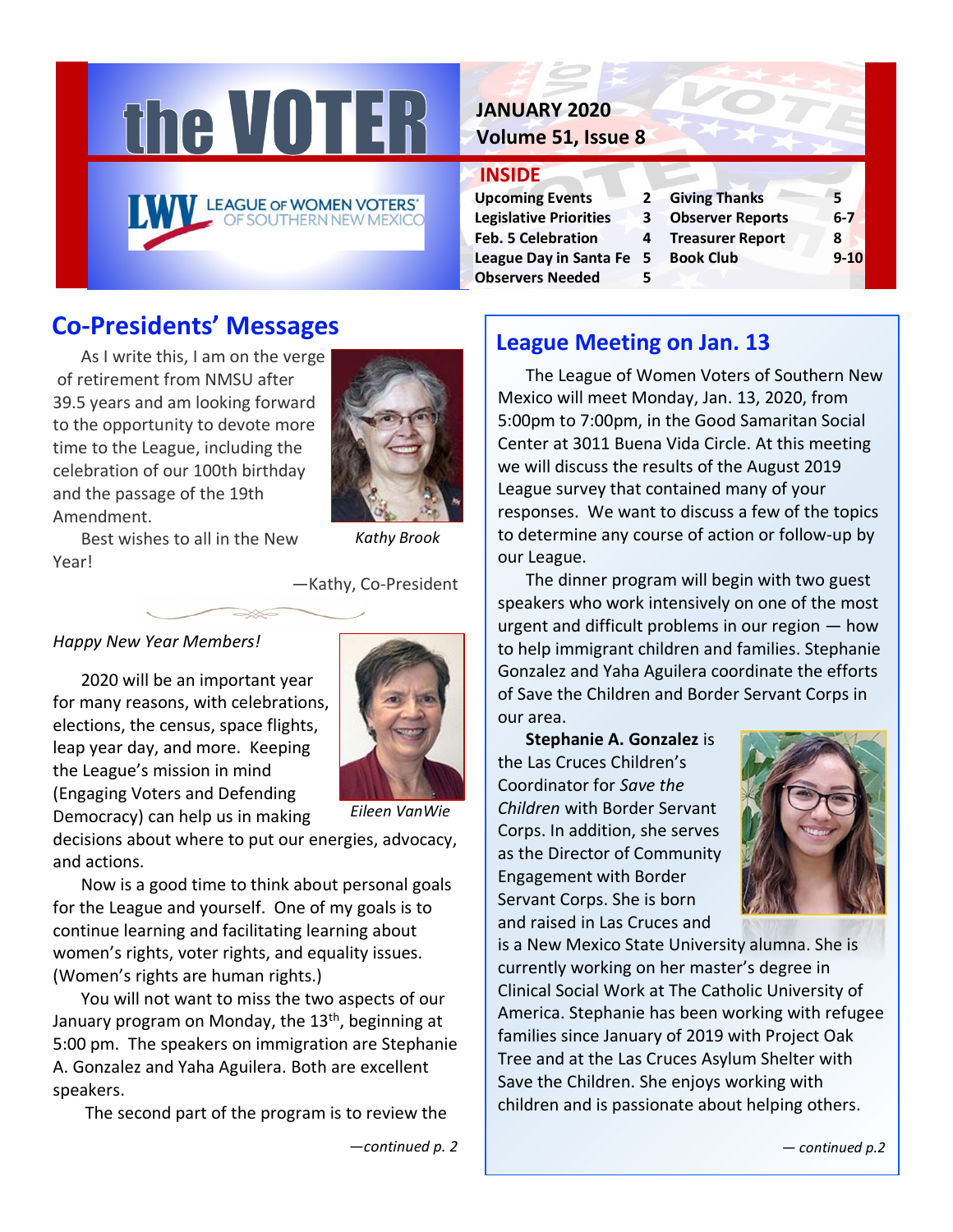

# **JANUARY 2020 Volume 51, Issue 8**

## **INSIDE**

| <b>Upcoming Events</b>        | 2 |
|-------------------------------|---|
| <b>Legislative Priorities</b> | 3 |
| <b>Feb. 5 Celebration</b>     | 4 |
| <b>League Day in Santa Fe</b> | 5 |
| <b>Observers Needed</b>       | 5 |

Giving Thanks **2008 Cheader Cobserver Reports 6-7 Freasurer Report 8 League Day 10 Book Club** 9-10

# **Co-Presidents' Messages**

As I write this, I am on the verge of retirement from NMSU after 39.5 years and am looking forward to the opportunity to devote more time to the League, including the celebration of our 100th birthday and the passage of the 19th Amendment.



Best wishes to all in the New Year!

*Kathy Brook*

—Kathy, Co-President

## *Happy New Year Members!*

2020 will be an important year for many reasons, with celebrations, elections, the census, space flights, leap year day, and more. Keeping the League's mission in mind (Engaging Voters and Defending Democracy) can help us in making



*Eileen VanWie*

decisions about where to put our energies, advocacy, and actions.

Now is a good time to think about personal goals for the League and yourself. One of my goals is to continue learning and facilitating learning about women's rights, voter rights, and equality issues. (Women's rights are human rights.)

You will not want to miss the two aspects of our January program on Monday, the  $13<sup>th</sup>$ , beginning at 5:00 pm. The speakers on immigration are Stephanie A. Gonzalez and Yaha Aguilera. Both are excellent speakers.

The second part of the program is to review the

# **League Meeting on Jan. 13**

The League of Women Voters of Southern New Mexico will meet Monday, Jan. 13, 2020, from 5:00pm to 7:00pm, in the Good Samaritan Social Center at 3011 Buena Vida Circle. At this meeting we will discuss the results of the August 2019 League survey that contained many of your responses. We want to discuss a few of the topics to determine any course of action or follow-up by our League.

The dinner program will begin with two guest speakers who work intensively on one of the most urgent and difficult problems in our region — how to help immigrant children and families. Stephanie Gonzalez and Yaha Aguilera coordinate the efforts of Save the Children and Border Servant Corps in our area.

**Stephanie A. Gonzalez** is the Las Cruces Children's Coordinator for *Save the Children* with Border Servant Corps. In addition, she serves as the Director of Community Engagement with Border Servant Corps. She is born and raised in Las Cruces and



is a New Mexico State University alumna. She is currently working on her master's degree in Clinical Social Work at The Catholic University of America. Stephanie has been working with refugee families since January of 2019 with Project Oak Tree and at the Las Cruces Asylum Shelter with Save the Children. She enjoys working with children and is passionate about helping others.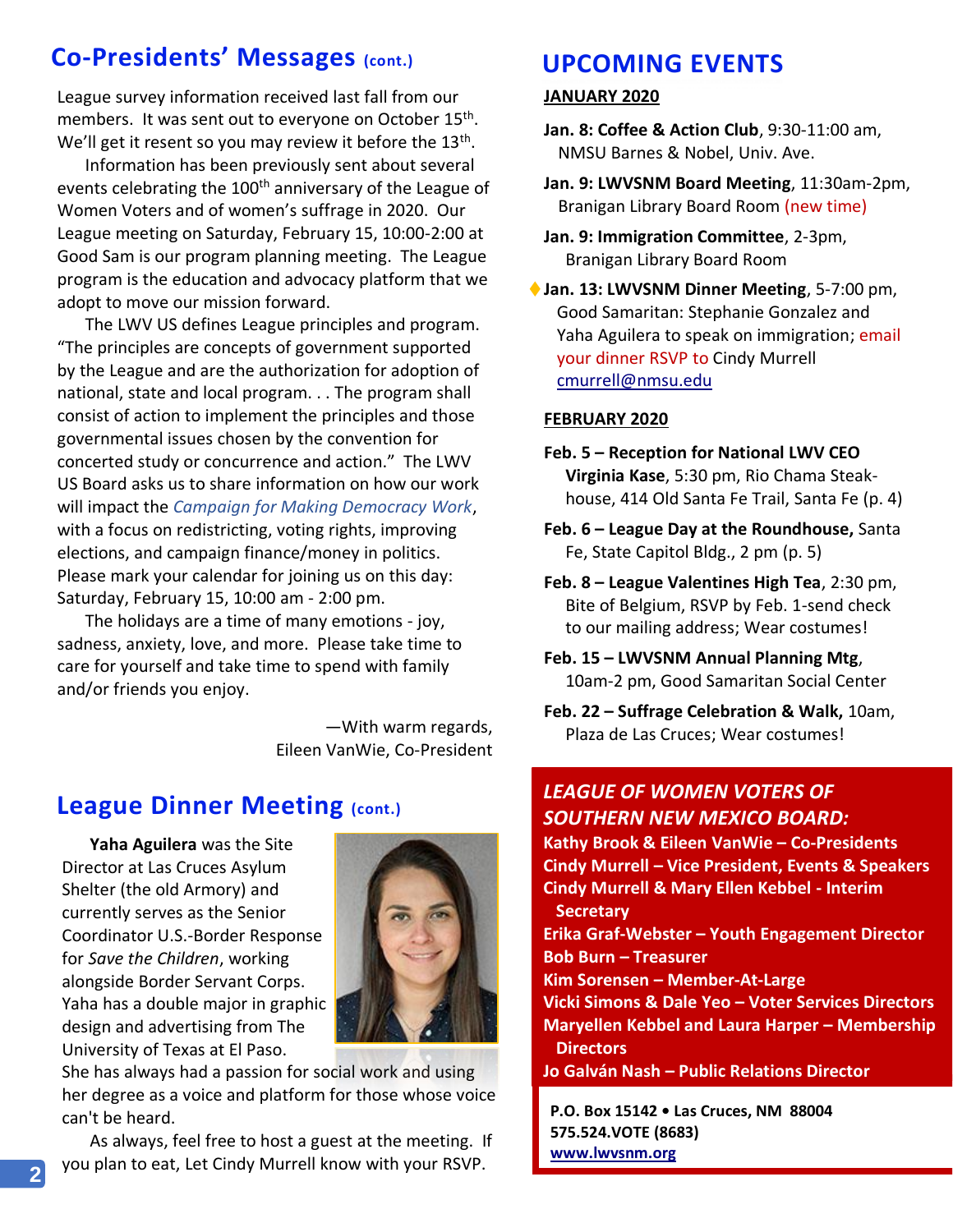# **Co-Presidents' Messages (cont.) UPCOMING EVENTS**

League survey information received last fall from our members. It was sent out to everyone on October 15<sup>th</sup>. We'll get it resent so you may review it before the 13<sup>th</sup>.

Information has been previously sent about several events celebrating the 100<sup>th</sup> anniversary of the League of Women Voters and of women's suffrage in 2020. Our League meeting on Saturday, February 15, 10:00-2:00 at Good Sam is our program planning meeting. The League program is the education and advocacy platform that we adopt to move our mission forward.

The LWV US defines League principles and program. "The principles are concepts of government supported by the League and are the authorization for adoption of national, state and local program. . . The program shall consist of action to implement the principles and those governmental issues chosen by the convention for concerted study or concurrence and action." The LWV US Board asks us to share information on how our work will impact the *Campaign for Making Democracy Work*, with a focus on redistricting, voting rights, improving elections, and campaign finance/money in politics. Please mark your calendar for joining us on this day: Saturday, February 15, 10:00 am - 2:00 pm.

The holidays are a time of many emotions - joy, sadness, anxiety, love, and more. Please take time to care for yourself and take time to spend with family and/or friends you enjoy.

> —With warm regards, Eileen VanWie, Co-President

# **League Dinner Meeting (cont.)**

**Yaha Aguilera** was the Site Director at Las Cruces Asylum Shelter (the old Armory) and currently serves as the Senior Coordinator U.S.-Border Response for *Save the Children*, working alongside Border Servant Corps. Yaha has a double major in graphic design and advertising from The University of Texas at El Paso.



She has always had a passion for social work and using her degree as a voice and platform for those whose voice can't be heard.

As always, feel free to host a guest at the meeting. If you plan to eat, Let Cindy Murrell know with your RSVP.

### **JANUARY 2020**

**Jan. 8: Coffee & Action Club**, 9:30-11:00 am, NMSU Barnes & Nobel, Univ. Ave.

**Jan. 9: LWVSNM Board Meeting**, 11:30am-2pm, Branigan Library Board Room (new time)

**Jan. 9: Immigration Committee**, 2-3pm, Branigan Library Board Room

◆ Jan. 13: LWVSNM Dinner Meeting, 5-7:00 pm, Good Samaritan: Stephanie Gonzalez and Yaha Aguilera to speak on immigration; email your dinner RSVP to Cindy Murrell [cmurrell@nmsu.edu](mailto:cmurrell@nmsu.edu)

#### **FEBRUARY 2020**

- **Feb. 5 – Reception for National LWV CEO Virginia Kase**, 5:30 pm, Rio Chama Steak house, 414 Old Santa Fe Trail, Santa Fe (p. 4)
- **Feb. 6 – League Day at the Roundhouse,** Santa Fe, State Capitol Bldg., 2 pm (p. 5)
- **Feb. 8 – League Valentines High Tea**, 2:30 pm, Bite of Belgium, RSVP by Feb. 1-send check to our mailing address; Wear costumes!
- **Feb. 15 – LWVSNM Annual Planning Mtg**, 10am-2 pm, Good Samaritan Social Center
- **Feb. 22 – Suffrage Celebration & Walk,** 10am, Plaza de Las Cruces; Wear costumes!

# *LEAGUE OF WOMEN VOTERS OF SOUTHERN NEW MEXICO BOARD:*

**Kathy Brook & Eileen VanWie – Co-Presidents Cindy Murrell – Vice President, Events & Speakers Cindy Murrell & Mary Ellen Kebbel - Interim Secretary Erika Graf-Webster – Youth Engagement Director Bob Burn – Treasurer Kim Sorensen – Member-At-Large Vicki Simons & Dale Yeo – Voter Services Directors Maryellen Kebbel and Laura Harper – Membership Directors**

**Jo Galván Nash – Public Relations Director**

**P.O. Box 15142 • Las Cruces, NM 88004 575.524.VOTE (8683) [www.lwvsnm.org](http://www.lwvsnm.org/)**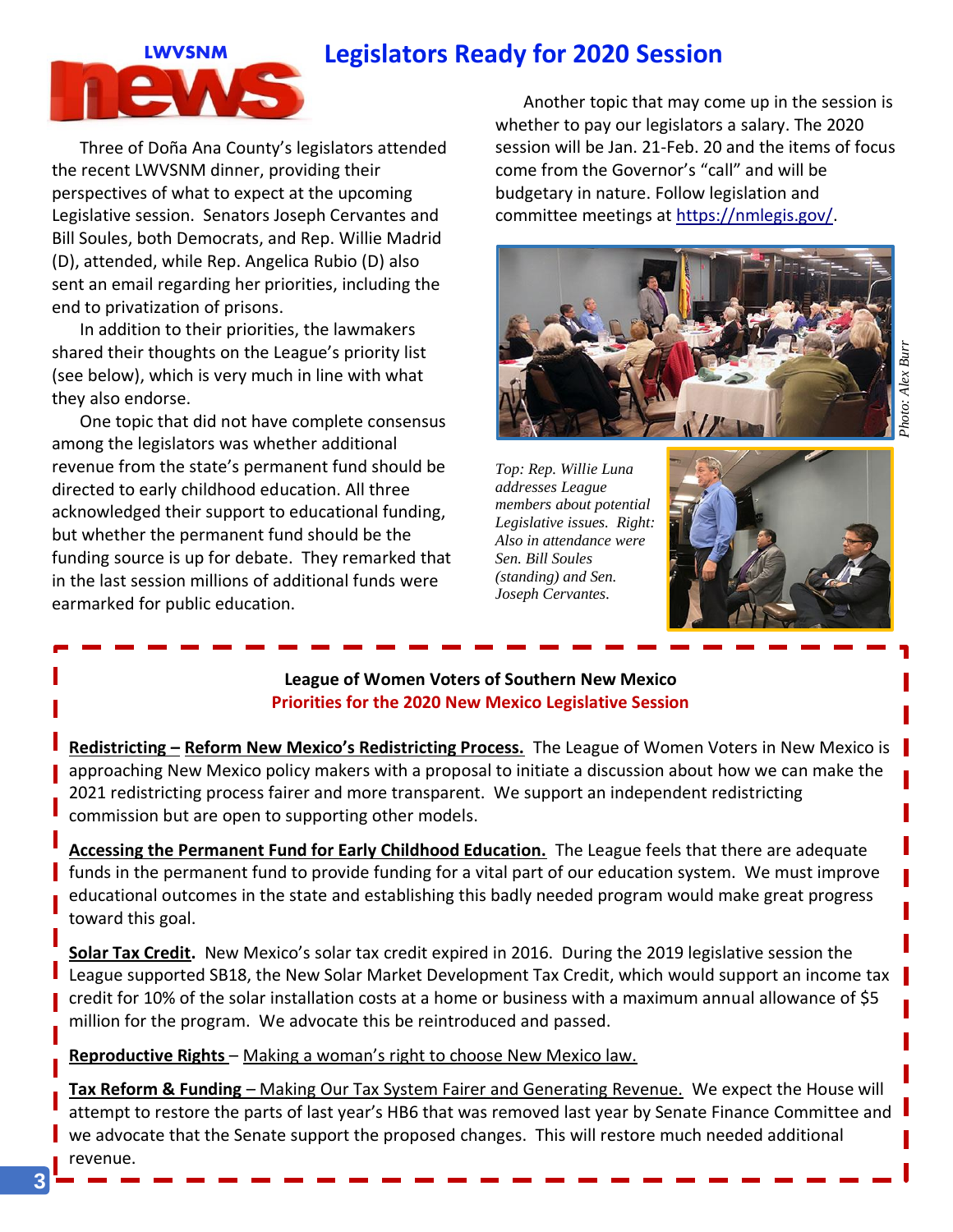# **Legislators Ready for 2020 Session**



Three of Doña Ana County's legislators attended the recent LWVSNM dinner, providing their perspectives of what to expect at the upcoming Legislative session. Senators Joseph Cervantes and Bill Soules, both Democrats, and Rep. Willie Madrid (D), attended, while Rep. Angelica Rubio (D) also sent an email regarding her priorities, including the end to privatization of prisons.

In addition to their priorities, the lawmakers shared their thoughts on the League's priority list (see below), which is very much in line with what they also endorse.

One topic that did not have complete consensus among the legislators was whether additional revenue from the state's permanent fund should be directed to early childhood education. All three acknowledged their support to educational funding, but whether the permanent fund should be the funding source is up for debate. They remarked that in the last session millions of additional funds were earmarked for public education.

Another topic that may come up in the session is whether to pay our legislators a salary. The 2020 session will be Jan. 21-Feb. 20 and the items of focus come from the Governor's "call" and will be budgetary in nature. Follow legislation and committee meetings at [https://nmlegis.gov/.](https://nmlegis.gov/)



*Top: Rep. Willie Luna addresses League members about potential Legislative issues. Right: Also in attendance were Sen. Bill Soules (standing) and Sen. Joseph Cervantes.* 



### **League of Women Voters of Southern New Mexico Priorities for the 2020 New Mexico Legislative Session**

**Redistricting – Reform New Mexico's Redistricting Process.** The League of Women Voters in New Mexico is approaching New Mexico policy makers with a proposal to initiate a discussion about how we can make the 2021 redistricting process fairer and more transparent. We support an independent redistricting commission but are open to supporting other models.

**Accessing the Permanent Fund for Early Childhood Education.** The League feels that there are adequate funds in the permanent fund to provide funding for a vital part of our education system. We must improve educational outcomes in the state and establishing this badly needed program would make great progress toward this goal.

**Solar Tax Credit.** New Mexico's solar tax credit expired in 2016. During the 2019 legislative session the League supported SB18, the New Solar Market Development Tax Credit, which would support an income tax credit for 10% of the solar installation costs at a home or business with a maximum annual allowance of \$5 million for the program. We advocate this be reintroduced and passed.

**Reproductive Rights** – Making a woman's right to choose New Mexico law.

**Tax Reform & Funding** – Making Our Tax System Fairer and Generating Revenue. We expect the House will attempt to restore the parts of last year's HB6 that was removed last year by Senate Finance Committee and we advocate that the Senate support the proposed changes. This will restore much needed additional revenue.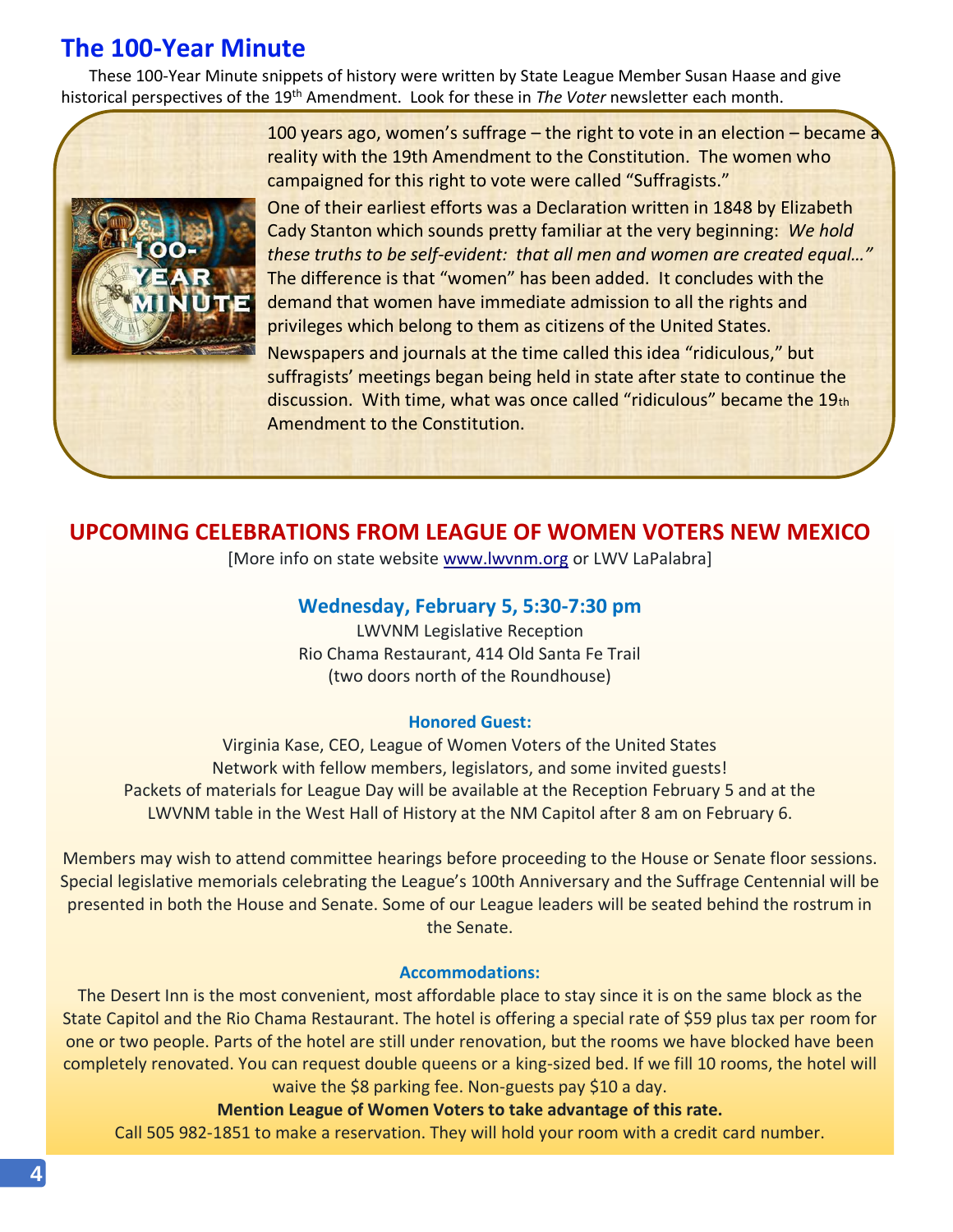# **The 100-Year Minute**

These 100-Year Minute snippets of history were written by State League Member Susan Haase and give historical perspectives of the 19th Amendment. Look for these in *The Voter* newsletter each month.



100 years ago, women's suffrage – the right to vote in an election – became a reality with the 19th Amendment to the Constitution. The women who campaigned for this right to vote were called "Suffragists."

One of their earliest efforts was a Declaration written in 1848 by Elizabeth Cady Stanton which sounds pretty familiar at the very beginning: *We hold these truths to be self-evident: that all men and women are created equal…"* The difference is that "women" has been added. It concludes with the demand that women have immediate admission to all the rights and privileges which belong to them as citizens of the United States.

Newspapers and journals at the time called this idea "ridiculous," but suffragists' meetings began being held in state after state to continue the discussion. With time, what was once called "ridiculous" became the 19th Amendment to the Constitution.

# **UPCOMING CELEBRATIONS FROM LEAGUE OF WOMEN VOTERS NEW MEXICO**

[More info on state website [www.lwvnm.org](http://www.lwvnm.org/) or LWV LaPalabra]

## **Wednesday, February 5, 5:30-7:30 pm**

LWVNM Legislative Reception Rio Chama Restaurant, 414 Old Santa Fe Trail (two doors north of the Roundhouse)

#### **Honored Guest:**

Virginia Kase, CEO, League of Women Voters of the United States Network with fellow members, legislators, and some invited guests! Packets of materials for League Day will be available at the Reception February 5 and at the LWVNM table in the West Hall of History at the NM Capitol after 8 am on February 6.

Members may wish to attend committee hearings before proceeding to the House or Senate floor sessions. Special legislative memorials celebrating the League's 100th Anniversary and the Suffrage Centennial will be presented in both the House and Senate. Some of our League leaders will be seated behind the rostrum in the Senate.

#### **Accommodations:**

The Desert Inn is the most convenient, most affordable place to stay since it is on the same block as the State Capitol and the Rio Chama Restaurant. The hotel is offering a special rate of \$59 plus tax per room for one or two people. Parts of the hotel are still under renovation, but the rooms we have blocked have been completely renovated. You can request double queens or a king-sized bed. If we fill 10 rooms, the hotel will waive the \$8 parking fee. Non-guests pay \$10 a day.

**Mention League of Women Voters to take advantage of this rate.**

Call 505 982-1851 to make a reservation. They will hold your room with a credit card number.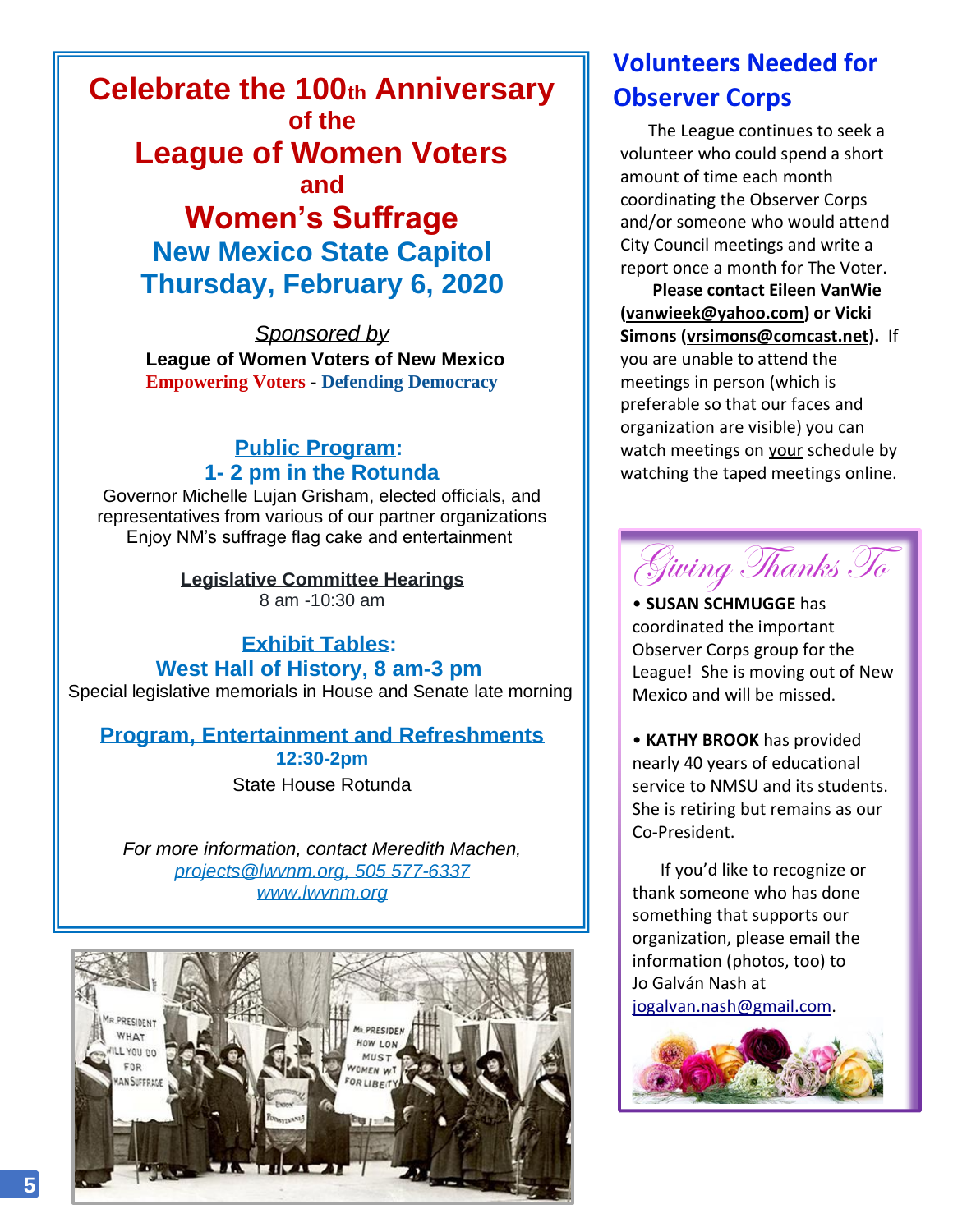**Celebrate the 100th Anniversary of the League of Women Voters and Women's Suffrage**

**New Mexico State Capitol Thursday, February 6, 2020**

*Sponsored by* **League of Women Voters of New Mexico Empowering Voters - Defending Democracy**

# **Public Program: 1- 2 pm in the Rotunda**

Governor Michelle Lujan Grisham, elected officials, and representatives from various of our partner organizations Enjoy NM's suffrage flag cake and entertainment

> **Legislative Committee Hearings** 8 am -10:30 am

**Exhibit Tables: West Hall of History, 8 am-3 pm** Special legislative memorials in House and Senate late morning

# **Program, Entertainment and Refreshments 12:30-2pm**

State House Rotunda

*For more information, contact Meredith Machen, [projects@lwvnm.org,](mailto:projects@lwvnm.org) 505 577-6337 [www.lwvnm.org](http://www.lwvnm.org/)*



# **Volunteers Needed for Observer Corps**

The League continues to seek a volunteer who could spend a short amount of time each month coordinating the Observer Corps and/or someone who would attend City Council meetings and write a report once a month for The Voter.

**Please contact Eileen VanWie [\(vanwieek@yahoo.com\)](mailto:vanwieek@yahoo.com) or Vicki Simons [\(vrsimons@comcast.net\)](mailto:vrsimons@comcast.netl.com).** If you are unable to attend the meetings in person (which is preferable so that our faces and organization are visible) you can watch meetings on your schedule by watching the taped meetings online.



• **SUSAN SCHMUGGE** has coordinated the important Observer Corps group for the League! She is moving out of New Mexico and will be missed.

• **KATHY BROOK** has provided nearly 40 years of educational service to NMSU and its students. She is retiring but remains as our Co-President.

If you'd like to recognize or thank someone who has done something that supports our organization, please email the information (photos, too) to Jo Galván Nash at [jogalvan.nash@gmail.com.](mailto:jogalvan.nash@gmail.com)

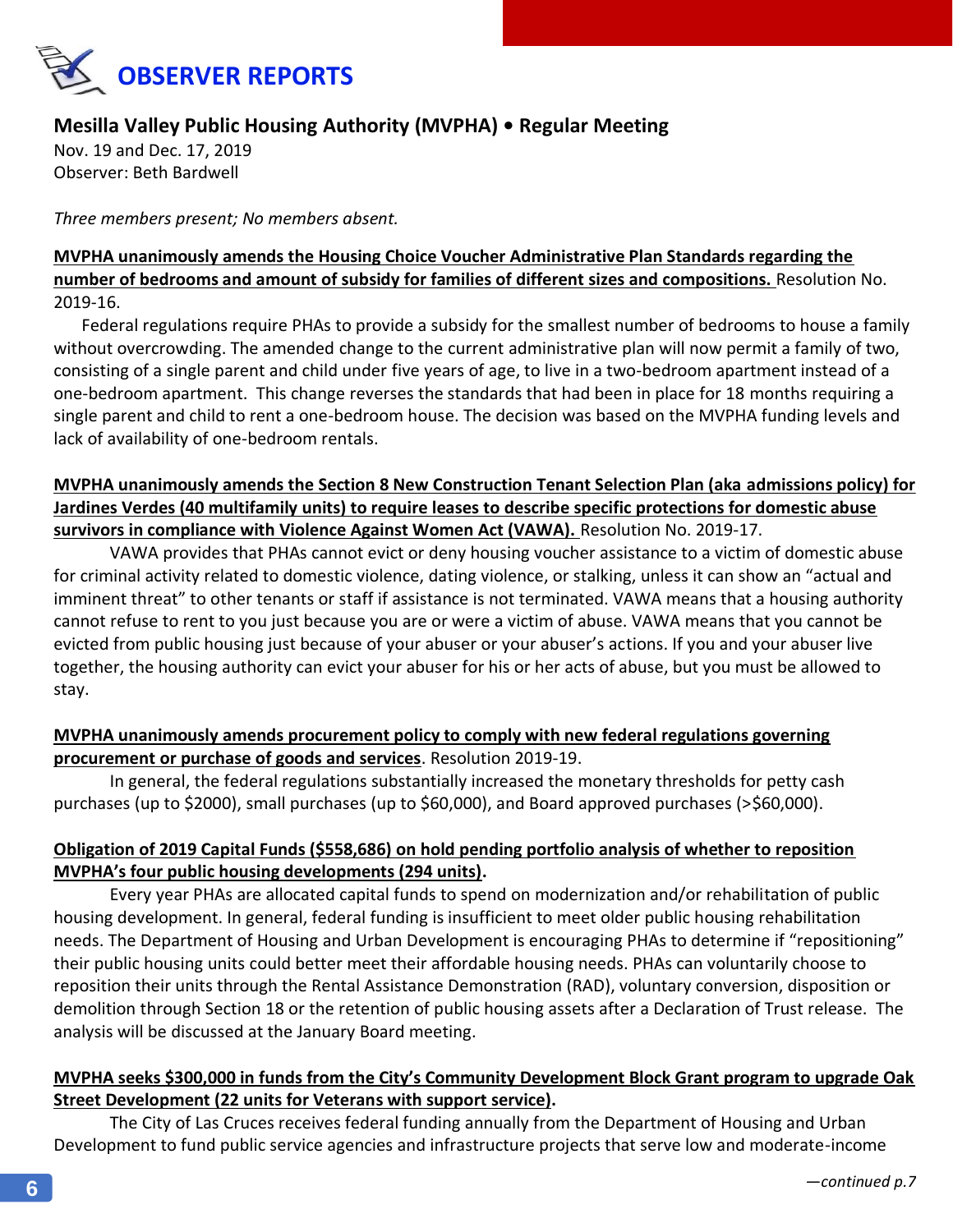

## **Mesilla Valley Public Housing Authority (MVPHA) • Regular Meeting**

Nov. 19 and Dec. 17, 2019 Observer: Beth Bardwell

*Three members present; No members absent.* 

## **MVPHA unanimously amends the Housing Choice Voucher Administrative Plan Standards regarding the number of bedrooms and amount of subsidy for families of different sizes and compositions.** Resolution No. 2019-16.

Federal regulations require PHAs to provide a subsidy for the smallest number of bedrooms to house a family without overcrowding. The amended change to the current administrative plan will now permit a family of two, consisting of a single parent and child under five years of age, to live in a two-bedroom apartment instead of a one-bedroom apartment. This change reverses the standards that had been in place for 18 months requiring a single parent and child to rent a one-bedroom house. The decision was based on the MVPHA funding levels and lack of availability of one-bedroom rentals.

## **MVPHA unanimously amends the Section 8 New Construction Tenant Selection Plan (aka admissions policy) for Jardines Verdes (40 multifamily units) to require leases to describe specific protections for domestic abuse survivors in compliance with Violence Against Women Act (VAWA).** Resolution No. 2019-17.

VAWA provides that PHAs cannot evict or deny housing voucher assistance to a victim of domestic abuse for criminal activity related to domestic violence, dating violence, or stalking, unless it can show an "actual and imminent threat" to other tenants or staff if assistance is not terminated. VAWA means that a housing authority cannot refuse to rent to you just because you are or were a victim of abuse. VAWA means that you cannot be evicted from public housing just because of your abuser or your abuser's actions. If you and your abuser live together, the housing authority can evict your abuser for his or her acts of abuse, but you must be allowed to stay.

## **MVPHA unanimously amends procurement policy to comply with new federal regulations governing procurement or purchase of goods and services**. Resolution 2019-19.

In general, the federal regulations substantially increased the monetary thresholds for petty cash purchases (up to \$2000), small purchases (up to \$60,000), and Board approved purchases (>\$60,000).

## **Obligation of 2019 Capital Funds (\$558,686) on hold pending portfolio analysis of whether to reposition MVPHA's four public housing developments (294 units).**

Every year PHAs are allocated capital funds to spend on modernization and/or rehabilitation of public housing development. In general, federal funding is insufficient to meet older public housing rehabilitation needs. The Department of Housing and Urban Development is encouraging PHAs to determine if "repositioning" their public housing units could better meet their affordable housing needs. PHAs can voluntarily choose to reposition their units through the Rental Assistance Demonstration (RAD), voluntary conversion, disposition or demolition through Section 18 or the retention of public housing assets after a Declaration of Trust release. The analysis will be discussed at the January Board meeting.

## **MVPHA seeks \$300,000 in funds from the City's Community Development Block Grant program to upgrade Oak Street Development (22 units for Veterans with support service).**

The City of Las Cruces receives federal funding annually from the Department of Housing and Urban Development to fund public service agencies and infrastructure projects that serve low and moderate-income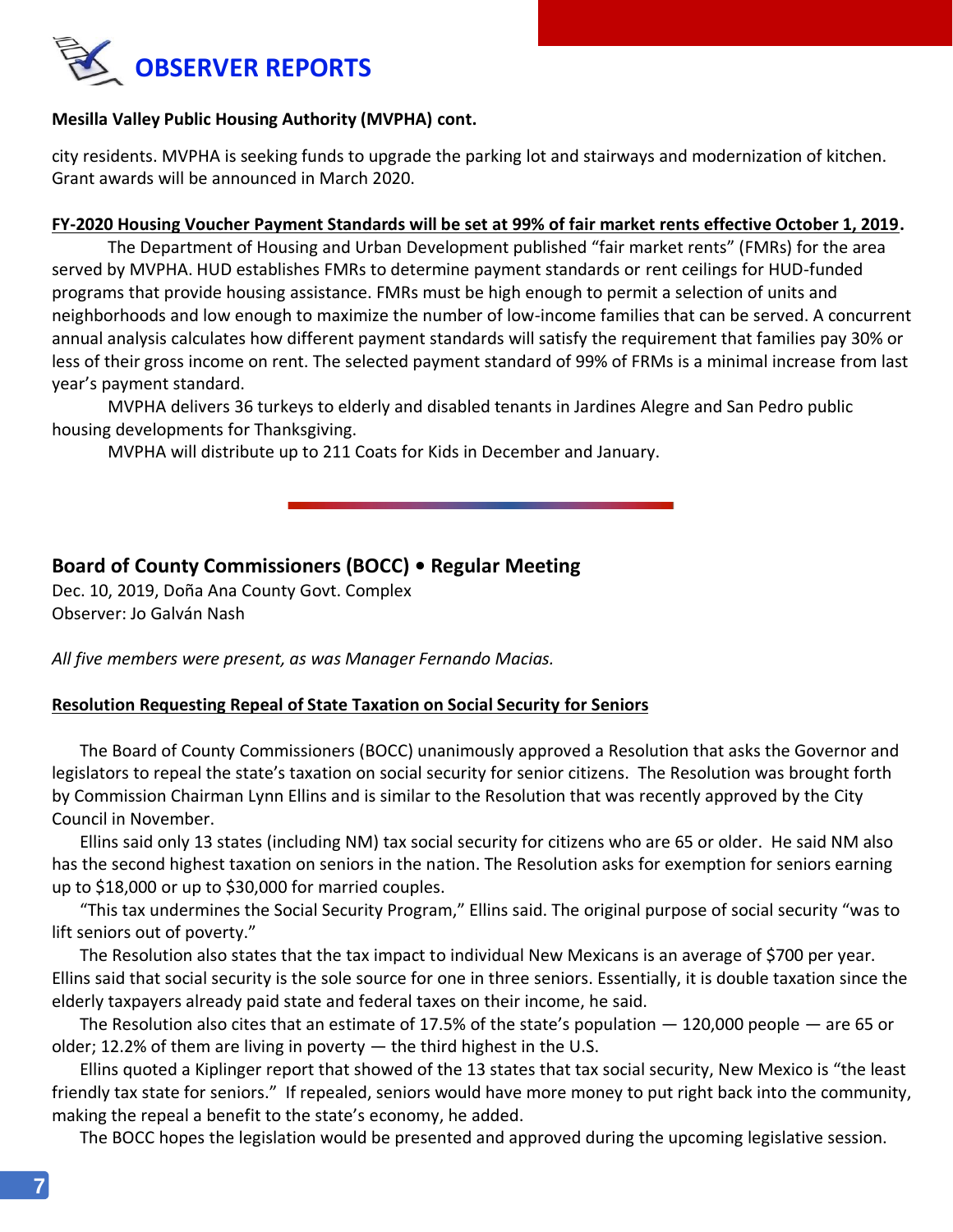

#### **Mesilla Valley Public Housing Authority (MVPHA) cont.**

city residents. MVPHA is seeking funds to upgrade the parking lot and stairways and modernization of kitchen. Grant awards will be announced in March 2020.

#### **FY-2020 Housing Voucher Payment Standards will be set at 99% of fair market rents effective October 1, 2019.**

The Department of Housing and Urban Development published "fair market rents" (FMRs) for the area served by MVPHA. HUD establishes FMRs to determine payment standards or rent ceilings for HUD-funded programs that provide housing assistance. FMRs must be high enough to permit a selection of units and neighborhoods and low enough to maximize the number of low-income families that can be served. A concurrent annual analysis calculates how different payment standards will satisfy the requirement that families pay 30% or less of their gross income on rent. The selected payment standard of 99% of FRMs is a minimal increase from last year's payment standard.

MVPHA delivers 36 turkeys to elderly and disabled tenants in Jardines Alegre and San Pedro public housing developments for Thanksgiving.

MVPHA will distribute up to 211 Coats for Kids in December and January.

## **Board of County Commissioners (BOCC) • Regular Meeting**

Dec. 10, 2019, Doña Ana County Govt. Complex Observer: Jo Galván Nash

*All five members were present, as was Manager Fernando Macias.*

#### **Resolution Requesting Repeal of State Taxation on Social Security for Seniors**

The Board of County Commissioners (BOCC) unanimously approved a Resolution that asks the Governor and legislators to repeal the state's taxation on social security for senior citizens. The Resolution was brought forth by Commission Chairman Lynn Ellins and is similar to the Resolution that was recently approved by the City Council in November.

Ellins said only 13 states (including NM) tax social security for citizens who are 65 or older. He said NM also has the second highest taxation on seniors in the nation. The Resolution asks for exemption for seniors earning up to \$18,000 or up to \$30,000 for married couples.

"This tax undermines the Social Security Program," Ellins said. The original purpose of social security "was to lift seniors out of poverty."

The Resolution also states that the tax impact to individual New Mexicans is an average of \$700 per year. Ellins said that social security is the sole source for one in three seniors. Essentially, it is double taxation since the elderly taxpayers already paid state and federal taxes on their income, he said.

The Resolution also cites that an estimate of 17.5% of the state's population  $-$  120,000 people  $-$  are 65 or older; 12.2% of them are living in poverty  $-$  the third highest in the U.S.

Ellins quoted a Kiplinger report that showed of the 13 states that tax social security, New Mexico is "the least friendly tax state for seniors." If repealed, seniors would have more money to put right back into the community, making the repeal a benefit to the state's economy, he added.

The BOCC hopes the legislation would be presented and approved during the upcoming legislative session.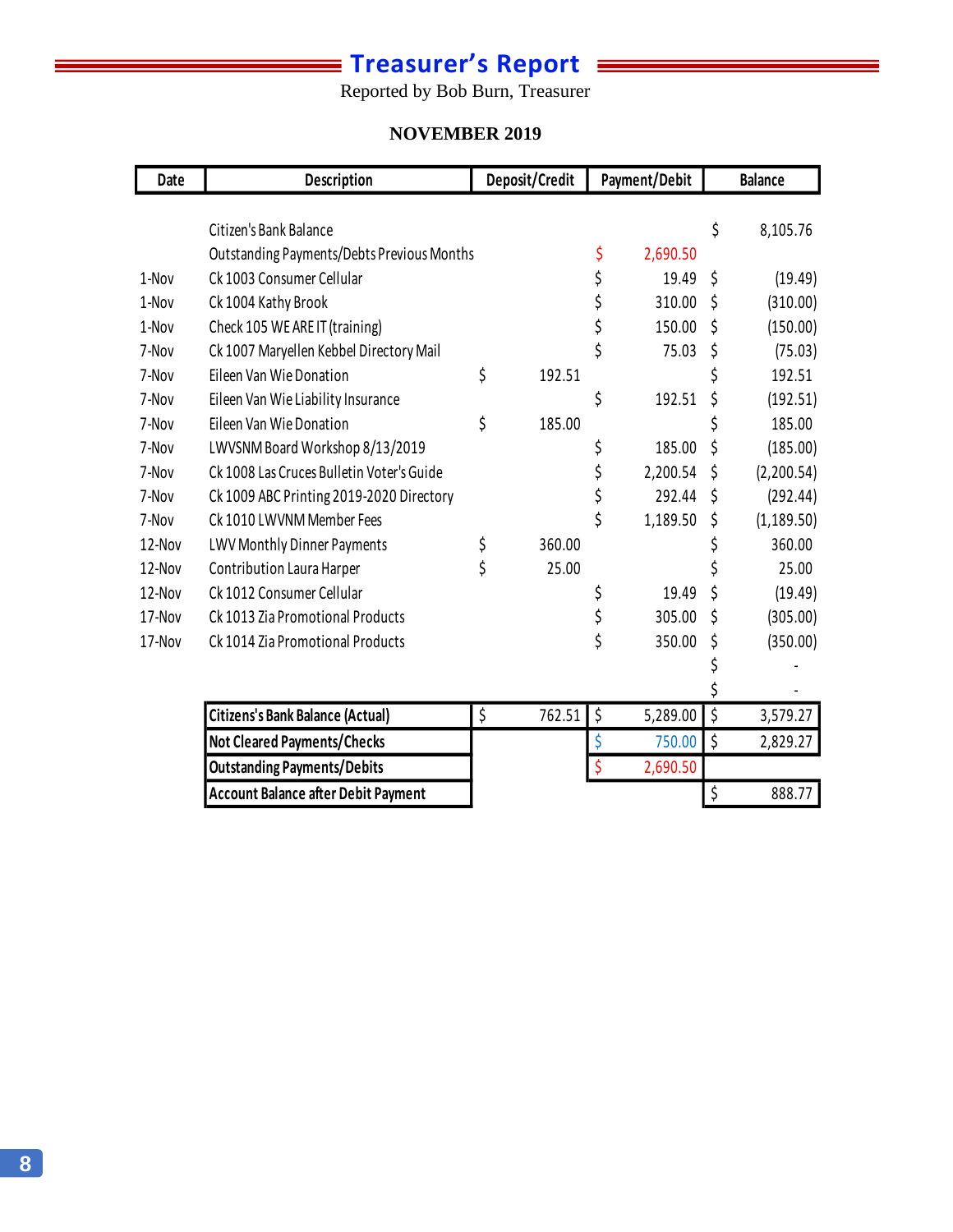# **Treasurer's Report**

Reported by Bob Burn, Treasurer

#### **NOVEMBER 2019 November 2019**

| Date   | Description                                | Deposit/Credit | Payment/Debit  |    | <b>Balance</b> |
|--------|--------------------------------------------|----------------|----------------|----|----------------|
|        |                                            |                |                |    |                |
|        | Citizen's Bank Balance                     |                |                | \$ | 8,105.76       |
|        | Outstanding Payments/Debts Previous Months |                | \$<br>2,690.50 |    |                |
| 1-Nov  | Ck 1003 Consumer Cellular                  |                | \$<br>19.49    | \$ | (19.49)        |
| 1-Nov  | Ck 1004 Kathy Brook                        |                | \$<br>310.00   | \$ | (310.00)       |
| 1-Nov  | Check 105 WE ARE IT (training)             |                | \$<br>150.00   | \$ | (150.00)       |
| 7-Nov  | Ck 1007 Maryellen Kebbel Directory Mail    |                | \$<br>75.03    | \$ | (75.03)        |
| 7-Nov  | Eileen Van Wie Donation                    | \$<br>192.51   |                | \$ | 192.51         |
| 7-Nov  | Eileen Van Wie Liability Insurance         |                | \$<br>192.51   | \$ | (192.51)       |
| 7-Nov  | Eileen Van Wie Donation                    | \$<br>185.00   |                | \$ | 185.00         |
| 7-Nov  | LWVSNM Board Workshop 8/13/2019            |                | \$<br>185.00   | Ś  | (185.00)       |
| 7-Nov  | Ck 1008 Las Cruces Bulletin Voter's Guide  |                | \$<br>2,200.54 | \$ | (2,200.54)     |
| 7-Nov  | Ck 1009 ABC Printing 2019-2020 Directory   |                | \$<br>292.44   | \$ | (292.44)       |
| 7-Nov  | Ck 1010 LWVNM Member Fees                  |                | \$<br>1,189.50 | \$ | (1, 189.50)    |
| 12-Nov | LWV Monthly Dinner Payments                | \$<br>360.00   |                | \$ | 360.00         |
| 12-Nov | Contribution Laura Harper                  | \$<br>25.00    |                | \$ | 25.00          |
| 12-Nov | Ck 1012 Consumer Cellular                  |                | \$<br>19.49    | \$ | (19.49)        |
| 17-Nov | Ck 1013 Zia Promotional Products           |                | \$<br>305.00   | \$ | (305.00)       |
| 17-Nov | Ck 1014 Zia Promotional Products           |                | \$<br>350.00   | \$ | (350.00)       |
|        |                                            |                |                |    |                |
|        |                                            |                |                |    |                |
|        | <b>Citizens's Bank Balance (Actual)</b>    | \$<br>762.51   | \$<br>5,289.00 | \$ | 3,579.27       |
|        | Not Cleared Payments/Checks                |                | \$<br>750.00   | \$ | 2,829.27       |
|        | <b>Outstanding Payments/Debits</b>         |                | \$<br>2,690.50 |    |                |
|        | <b>Account Balance after Debit Payment</b> |                |                | \$ | 888.77         |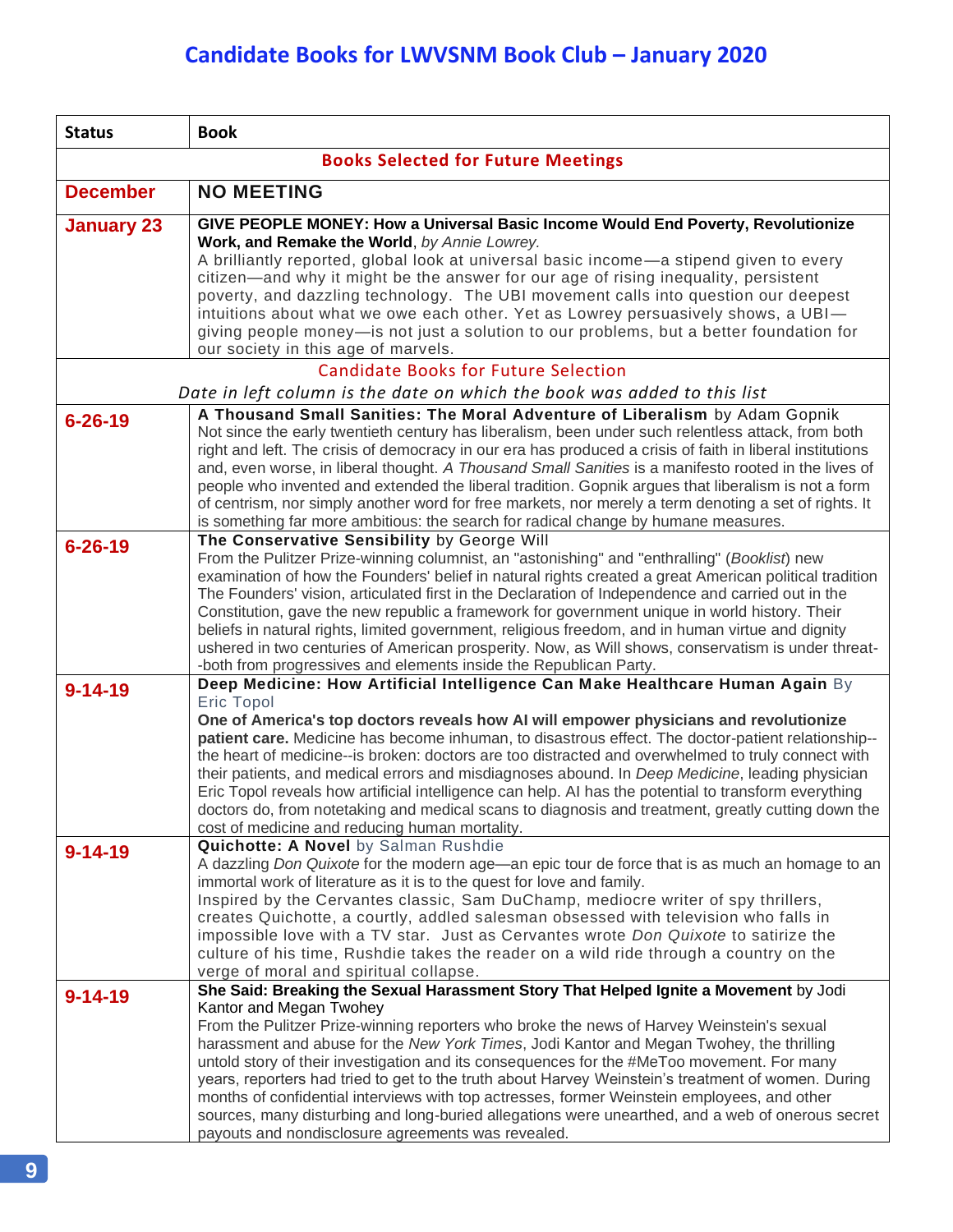| <b>Status</b>     | <b>Book</b>                                                                                                                                                                                                 |
|-------------------|-------------------------------------------------------------------------------------------------------------------------------------------------------------------------------------------------------------|
|                   | <b>Books Selected for Future Meetings</b>                                                                                                                                                                   |
| <b>December</b>   | <b>NO MEETING</b>                                                                                                                                                                                           |
| <b>January 23</b> | GIVE PEOPLE MONEY: How a Universal Basic Income Would End Poverty, Revolutionize<br>Work, and Remake the World, by Annie Lowrey.                                                                            |
|                   | A brilliantly reported, global look at universal basic income—a stipend given to every                                                                                                                      |
|                   | citizen-and why it might be the answer for our age of rising inequality, persistent                                                                                                                         |
|                   | poverty, and dazzling technology. The UBI movement calls into question our deepest<br>intuitions about what we owe each other. Yet as Lowrey persuasively shows, a UBI-                                     |
|                   | giving people money-is not just a solution to our problems, but a better foundation for                                                                                                                     |
|                   | our society in this age of marvels.                                                                                                                                                                         |
|                   | <b>Candidate Books for Future Selection</b>                                                                                                                                                                 |
|                   | Date in left column is the date on which the book was added to this list                                                                                                                                    |
| $6 - 26 - 19$     | A Thousand Small Sanities: The Moral Adventure of Liberalism by Adam Gopnik<br>Not since the early twentieth century has liberalism, been under such relentless attack, from both                           |
|                   | right and left. The crisis of democracy in our era has produced a crisis of faith in liberal institutions                                                                                                   |
|                   | and, even worse, in liberal thought. A Thousand Small Sanities is a manifesto rooted in the lives of<br>people who invented and extended the liberal tradition. Gopnik argues that liberalism is not a form |
|                   | of centrism, nor simply another word for free markets, nor merely a term denoting a set of rights. It                                                                                                       |
|                   | is something far more ambitious: the search for radical change by humane measures.                                                                                                                          |
| $6 - 26 - 19$     | The Conservative Sensibility by George Will                                                                                                                                                                 |
|                   | From the Pulitzer Prize-winning columnist, an "astonishing" and "enthralling" (Booklist) new<br>examination of how the Founders' belief in natural rights created a great American political tradition      |
|                   | The Founders' vision, articulated first in the Declaration of Independence and carried out in the                                                                                                           |
|                   | Constitution, gave the new republic a framework for government unique in world history. Their                                                                                                               |
|                   | beliefs in natural rights, limited government, religious freedom, and in human virtue and dignity                                                                                                           |
|                   | ushered in two centuries of American prosperity. Now, as Will shows, conservatism is under threat-<br>-both from progressives and elements inside the Republican Party.                                     |
| $9 - 14 - 19$     | Deep Medicine: How Artificial Intelligence Can Make Healthcare Human Again By                                                                                                                               |
|                   | <b>Eric Topol</b>                                                                                                                                                                                           |
|                   | One of America's top doctors reveals how AI will empower physicians and revolutionize                                                                                                                       |
|                   | patient care. Medicine has become inhuman, to disastrous effect. The doctor-patient relationship--<br>the heart of medicine--is broken: doctors are too distracted and overwhelmed to truly connect with    |
|                   | their patients, and medical errors and misdiagnoses abound. In Deep Medicine, leading physician                                                                                                             |
|                   | Eric Topol reveals how artificial intelligence can help. AI has the potential to transform everything                                                                                                       |
|                   | doctors do, from notetaking and medical scans to diagnosis and treatment, greatly cutting down the                                                                                                          |
|                   | cost of medicine and reducing human mortality.<br>Quichotte: A Novel by Salman Rushdie                                                                                                                      |
| $9 - 14 - 19$     | A dazzling Don Quixote for the modern age—an epic tour de force that is as much an homage to an                                                                                                             |
|                   | immortal work of literature as it is to the quest for love and family.                                                                                                                                      |
|                   | Inspired by the Cervantes classic, Sam DuChamp, mediocre writer of spy thrillers,                                                                                                                           |
|                   | creates Quichotte, a courtly, addled salesman obsessed with television who falls in                                                                                                                         |
|                   | impossible love with a TV star. Just as Cervantes wrote Don Quixote to satirize the<br>culture of his time, Rushdie takes the reader on a wild ride through a country on the                                |
|                   | verge of moral and spiritual collapse.                                                                                                                                                                      |
| $9 - 14 - 19$     | She Said: Breaking the Sexual Harassment Story That Helped Ignite a Movement by Jodi                                                                                                                        |
|                   | Kantor and Megan Twohey                                                                                                                                                                                     |
|                   | From the Pulitzer Prize-winning reporters who broke the news of Harvey Weinstein's sexual<br>harassment and abuse for the New York Times, Jodi Kantor and Megan Twohey, the thrilling                       |
|                   | untold story of their investigation and its consequences for the #MeToo movement. For many                                                                                                                  |
|                   | years, reporters had tried to get to the truth about Harvey Weinstein's treatment of women. During                                                                                                          |
|                   | months of confidential interviews with top actresses, former Weinstein employees, and other                                                                                                                 |
|                   | sources, many disturbing and long-buried allegations were unearthed, and a web of onerous secret                                                                                                            |
|                   | payouts and nondisclosure agreements was revealed.                                                                                                                                                          |